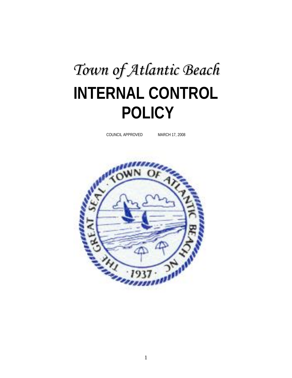# *Town of Atlantic Beach* **INTERNAL CONTROL POLICY**

COUNCIL APPROVED MARCH 17, 2008

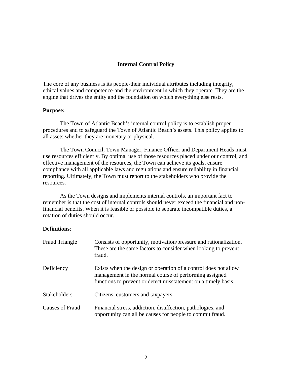# **Internal Control Policy**

The core of any business is its people-their individual attributes including integrity, ethical values and competence-and the environment in which they operate. They are the engine that drives the entity and the foundation on which everything else rests.

# **Purpose:**

 The Town of Atlantic Beach's internal control policy is to establish proper procedures and to safeguard the Town of Atlantic Beach's assets. This policy applies to all assets whether they are monetary or physical.

The Town Council, Town Manager, Finance Officer and Department Heads must use resources efficiently. By optimal use of those resources placed under our control, and effective management of the resources, the Town can achieve its goals, ensure compliance with all applicable laws and regulations and ensure reliability in financial reporting. Ultimately, the Town must report to the stakeholders who provide the resources.

As the Town designs and implements internal controls, an important fact to remember is that the cost of internal controls should never exceed the financial and nonfinancial benefits. When it is feasible or possible to separate incompatible duties, a rotation of duties should occur.

# **Definitions**:

| <b>Fraud Triangle</b>  | Consists of opportunity, motivation/pressure and rationalization.<br>These are the same factors to consider when looking to prevent<br>fraud.                                               |  |
|------------------------|---------------------------------------------------------------------------------------------------------------------------------------------------------------------------------------------|--|
| Deficiency             | Exists when the design or operation of a control does not allow<br>management in the normal course of performing assigned<br>functions to prevent or detect misstatement on a timely basis. |  |
| <b>Stakeholders</b>    | Citizens, customers and taxpayers                                                                                                                                                           |  |
| <b>Causes of Fraud</b> | Financial stress, addiction, disaffection, pathologies, and<br>opportunity can all be causes for people to commit fraud.                                                                    |  |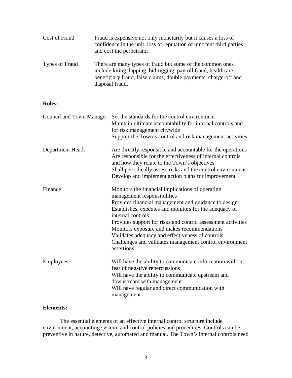| Cost of Fraud  | Fraud is expensive not only monetarily but it causes a loss of<br>confidence in the unit, loss of reputation of innocent third parties<br>and cost the perpetrator.                                                 |
|----------------|---------------------------------------------------------------------------------------------------------------------------------------------------------------------------------------------------------------------|
| Types of Fraud | There are many types of fraud but some of the common ones<br>include kiting, lapping, bid rigging, payroll fraud, healthcare<br>beneficiary fraud, false claims, double payments, charge-off and<br>disposal fraud. |

# **Roles:**

|                  | Council and Town Manager Set the standards for the control environment<br>Maintain ultimate accountability for internal controls and<br>for risk management citywide<br>Support the Town's control and risk management activities                                                                                                                                                                                                                                  |
|------------------|--------------------------------------------------------------------------------------------------------------------------------------------------------------------------------------------------------------------------------------------------------------------------------------------------------------------------------------------------------------------------------------------------------------------------------------------------------------------|
| Department Heads | Are directly responsible and accountable for the operations<br>Are responsible for the effectiveness of internal controls<br>and how they relate to the Town's objectives<br>Shall periodically assess risks and the control environment<br>Develop and implement action plans for improvement                                                                                                                                                                     |
| Finance          | Monitors the financial implications of operating<br>management responsibilities<br>Provides financial management and guidance to design<br>Establishes, executes and monitors for the adequacy of<br>internal controls<br>Provides support for risks and control assessment activities<br>Monitors exposure and makes recommendations<br>Validates adequacy and effectiveness of controls<br>Challenges and validates management control environment<br>assertions |
| Employees        | Will have the ability to communicate information without<br>fear of negative repercussions<br>Will have the ability to communicate upstream and<br>downstream with management<br>Will have regular and direct communication with<br>management                                                                                                                                                                                                                     |

# **Elements:**

The essential elements of an effective internal control structure include environment, accounting system, and control policies and procedures. Controls can be preventive in nature, detective, automated and manual. The Town's internal controls need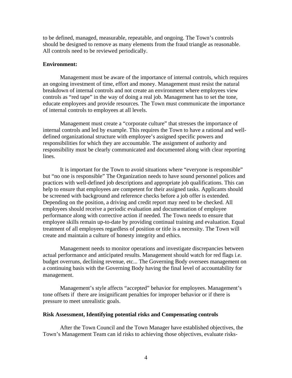to be defined, managed, measurable, repeatable, and ongoing. The Town's controls should be designed to remove as many elements from the fraud triangle as reasonable. All controls need to be reviewed periodically.

### **Environment:**

Management must be aware of the importance of internal controls, which requires an ongoing investment of time, effort and money. Management must resist the natural breakdown of internal controls and not create an environment where employees view controls as "red tape" in the way of doing a real job. Management has to set the tone, educate employees and provide resources. The Town must communicate the importance of internal controls to employees at all levels.

 Management must create a "corporate culture" that stresses the importance of internal controls and led by example. This requires the Town to have a rational and welldefined organizational structure with employee's assigned specific powers and responsibilities for which they are accountable. The assignment of authority and responsibility must be clearly communicated and documented along with clear reporting lines.

 It is important for the Town to avoid situations where "everyone is responsible" but "no one is responsible" The Organization needs to have sound personnel polices and practices with well-defined job descriptions and appropriate job qualifications. This can help to ensure that employees are competent for their assigned tasks. Applicants should be screened with background and reference checks before a job offer is extended. Depending on the position, a driving and credit report may need to be checked. All employees should receive a periodic evaluation and documentation of employee performance along with corrective action if needed. The Town needs to ensure that employee skills remain up-to-date by providing continual training and evaluation. Equal treatment of all employees regardless of position or title is a necessity. The Town will create and maintain a culture of honesty integrity and ethics.

 Management needs to monitor operations and investigate discrepancies between actual performance and anticipated results. Management should watch for red flags i.e. budget overruns, declining revenue, etc... The Governing Body oversees management on a continuing basis with the Governing Body having the final level of accountability for management.

Management's style affects "accepted" behavior for employees. Management's tone offsets if there are insignificant penalties for improper behavior or if there is pressure to meet unrealistic goals.

# **Risk Assessment, Identifying potential risks and Compensating controls**

 After the Town Council and the Town Manager have established objectives, the Town's Management Team can id risks to achieving those objectives, evaluate risks-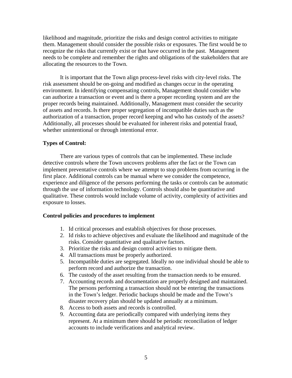likelihood and magnitude, prioritize the risks and design control activities to mitigate them. Management should consider the possible risks or exposures. The first would be to recognize the risks that currently exist or that have occurred in the past. Management needs to be complete and remember the rights and obligations of the stakeholders that are allocating the resources to the Town.

It is important that the Town align process-level risks with city-level risks. The risk assessment should be on-going and modified as changes occur in the operating environment. In identifying compensating controls, Management should consider who can authorize a transaction or event and is there a proper recording system and are the proper records being maintained. Additionally, Management must consider the security of assets and records. Is there proper segregation of incompatible duties such as the authorization of a transaction, proper record keeping and who has custody of the assets? Additionally, all processes should be evaluated for inherent risks and potential fraud, whether unintentional or through intentional error.

# **Types of Control:**

 There are various types of controls that can be implemented. These include detective controls where the Town uncovers problems after the fact or the Town can implement preventative controls where we attempt to stop problems from occurring in the first place. Additional controls can be manual where we consider the competence, experience and diligence of the persons performing the tasks or controls can be automatic through the use of information technology. Controls should also be quantitative and qualitative. These controls would include volume of activity, complexity of activities and exposure to losses.

# **Control policies and procedures to implement**

- 1. Id critical processes and establish objectives for those processes.
- 2. Id risks to achieve objectives and evaluate the likelihood and magnitude of the risks. Consider quantitative and qualitative factors.
- 3. Prioritize the risks and design control activities to mitigate them.
- 4. All transactions must be properly authorized.
- 5. Incompatible duties are segregated. Ideally no one individual should be able to perform record and authorize the transaction.
- 6. The custody of the asset resulting from the transaction needs to be ensured.
- 7. Accounting records and documentation are properly designed and maintained. The persons performing a transaction should not be entering the transactions in the Town's ledger. Periodic backups should be made and the Town's disaster recovery plan should be updated annually at a minimum.
- 8. Access to both assets and records is controlled.
- 9. Accounting data are periodically compared with underlying items they represent. At a minimum there should be periodic reconciliation of ledger accounts to include verifications and analytical review.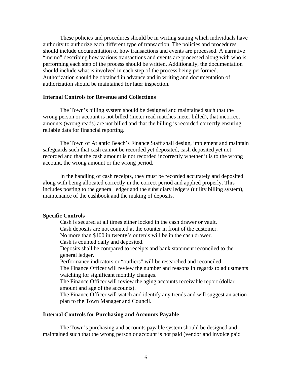These policies and procedures should be in writing stating which individuals have authority to authorize each different type of transaction. The policies and procedures should include documentation of how transactions and events are processed. A narrative "memo" describing how various transactions and events are processed along with who is performing each step of the process should be written. Additionally, the documentation should include what is involved in each step of the process being performed. Authorization should be obtained in advance and in writing and documentation of authorization should be maintained for later inspection.

#### **Internal Controls for Revenue and Collections**

The Town's billing system should be designed and maintained such that the wrong person or account is not billed (meter read matches meter billed), that incorrect amounts (wrong reads) are not billed and that the billing is recorded correctly ensuring reliable data for financial reporting.

 The Town of Atlantic Beach's Finance Staff shall design, implement and maintain safeguards such that cash cannot be recorded yet deposited, cash deposited yet not recorded and that the cash amount is not recorded incorrectly whether it is to the wrong account, the wrong amount or the wrong period.

In the handling of cash receipts, they must be recorded accurately and deposited along with being allocated correctly in the correct period and applied properly. This includes posting to the general ledger and the subsidiary ledgers (utility billing system), maintenance of the cashbook and the making of deposits.

# **Specific Controls**

 Cash is secured at all times either locked in the cash drawer or vault. Cash deposits are not counted at the counter in front of the customer.

No more than \$100 in twenty's or ten's will be in the cash drawer.

Cash is counted daily and deposited.

Deposits shall be compared to receipts and bank statement reconciled to the general ledger.

Performance indicators or "outliers" will be researched and reconciled.

The Finance Officer will review the number and reasons in regards to adjustments watching for significant monthly changes.

The Finance Officer will review the aging accounts receivable report (dollar amount and age of the accounts).

The Finance Officer will watch and identify any trends and will suggest an action plan to the Town Manager and Council.

#### **Internal Controls for Purchasing and Accounts Payable**

The Town's purchasing and accounts payable system should be designed and maintained such that the wrong person or account is not paid (vendor and invoice paid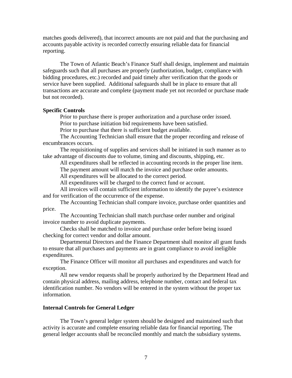matches goods delivered), that incorrect amounts are not paid and that the purchasing and accounts payable activity is recorded correctly ensuring reliable data for financial reporting.

 The Town of Atlantic Beach's Finance Staff shall design, implement and maintain safeguards such that all purchases are properly (authorization, budget, compliance with bidding procedures, etc.) recorded and paid timely after verification that the goods or service have been supplied. Additional safeguards shall be in place to ensure that all transactions are accurate and complete (payment made yet not recorded or purchase made but not recorded).

#### **Specific Controls**

Prior to purchase there is proper authorization and a purchase order issued. Prior to purchase initiation bid requirements have been satisfied.

Prior to purchase that there is sufficient budget available.

 The Accounting Technician shall ensure that the proper recording and release of encumbrances occurs.

 The requisitioning of supplies and services shall be initiated in such manner as to take advantage of discounts due to volume, timing and discounts, shipping, etc.

All expenditures shall be reflected in accounting records in the proper line item.

The payment amount will match the invoice and purchase order amounts.

All expenditures will be allocated to the correct period.

All expenditures will be charged to the correct fund or account.

 All invoices will contain sufficient information to identify the payee's existence and for verification of the occurrence of the expense.

 The Accounting Technician shall compare invoice, purchase order quantities and price.

The Accounting Technician shall match purchase order number and original invoice number to avoid duplicate payments.

 Checks shall be matched to invoice and purchase order before being issued checking for correct vendor and dollar amount.

 Departmental Directors and the Finance Department shall monitor all grant funds to ensure that all purchases and payments are in grant compliance to avoid ineligible expenditures.

 The Finance Officer will monitor all purchases and expenditures and watch for exception.

 All new vendor requests shall be properly authorized by the Department Head and contain physical address, mailing address, telephone number, contact and federal tax identification number. No vendors will be entered in the system without the proper tax information.

## **Internal Controls for General Ledger**

The Town's general ledger system should be designed and maintained such that activity is accurate and complete ensuring reliable data for financial reporting. The general ledger accounts shall be reconciled monthly and match the subsidiary systems.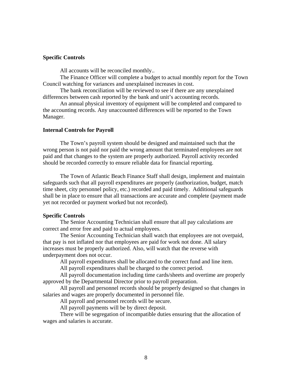# **Specific Controls**

All accounts will be reconciled monthly..

The Finance Officer will complete a budget to actual monthly report for the Town Council watching for variances and unexplained increases in cost.

The bank reconciliation will be reviewed to see if there are any unexplained differences between cash reported by the bank and unit's accounting records.

 An annual physical inventory of equipment will be completed and compared to the accounting records. Any unaccounted differences will be reported to the Town Manager.

#### **Internal Controls for Payroll**

The Town's payroll system should be designed and maintained such that the wrong person is not paid nor paid the wrong amount that terminated employees are not paid and that changes to the system are properly authorized. Payroll activity recorded should be recorded correctly to ensure reliable data for financial reporting.

 The Town of Atlantic Beach Finance Staff shall design, implement and maintain safeguards such that all payroll expenditures are properly (authorization, budget, match time sheet, city personnel policy, etc.) recorded and paid timely. Additional safeguards shall be in place to ensure that all transactions are accurate and complete (payment made yet not recorded or payment worked but not recorded).

#### **Specific Controls**

 The Senior Accounting Technician shall ensure that all pay calculations are correct and error free and paid to actual employees.

 The Senior Accounting Technician shall watch that employees are not overpaid, that pay is not inflated nor that employees are paid for work not done. All salary increases must be properly authorized. Also, will watch that the reverse with underpayment does not occur.

All payroll expenditures shall be allocated to the correct fund and line item.

All payroll expenditures shall be charged to the correct period.

 All payroll documentation including time cards/sheets and overtime are properly approved by the Departmental Director prior to payroll preparation.

 All payroll and personnel records should be properly designed so that changes in salaries and wages are properly documented in personnel file.

All payroll and personnel records will be secure.

All payroll payments will be by direct deposit.

 There will be segregation of incompatible duties ensuring that the allocation of wages and salaries is accurate.